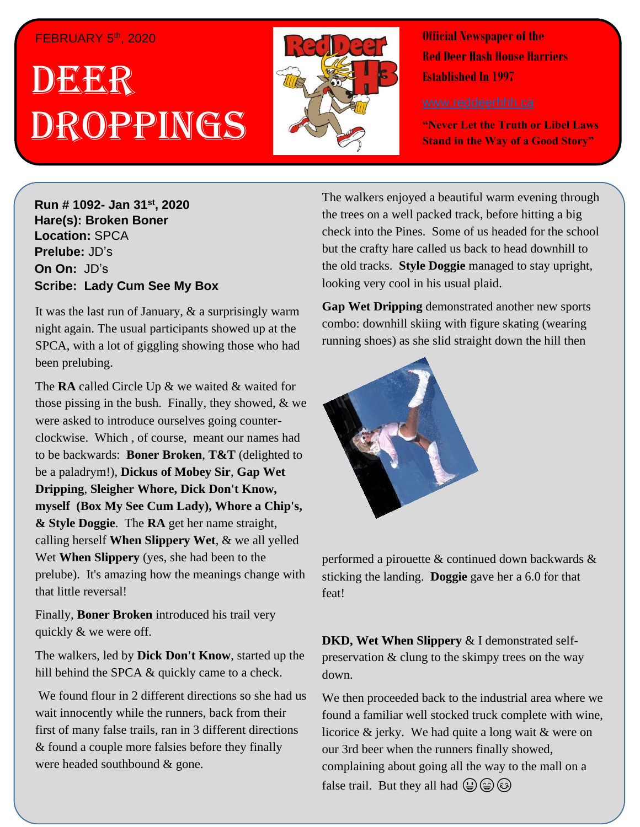#### FEBRUARY 5th, 2020

# . 1 DEER Droppings



**Official Newspaper of the Red Deer Hash House Harriers Established In 1997** 

**"Never Let the Truth or Libel Laws Stand in the Way of a Good Story"**

**Hare(s): Deep Throat with a little help from her Run # 1092- Jan 31st, 2020 virgin friend Hare(s): Broken Boner Location:** SPCA **Prelube:** JD's **On On:** JD's **Scribe: Chips A Whore Scribe: Lady Cum See My Box** 

It was the last run of January,  $\&$  a surprisingly warm *possibly go for a run?* night again. The usual participants showed up at the we are the gagging the large method in the set SPCA, with a lot of giggling showing those who had

to be some of my friends out at  $\delta$  my friends out at  $\delta$ those pissing in the bush. Finally, they showed,  $\&$  we were asked to introduce ourselves going counterclockwise. Which , of course, meant our names had to be backwards: **Boner Broken**, **T&T** (delighted to **Throat.** be a paladrym!), **Dickus of Mobey Sir**, **Gap Wet**  myself (Box My See Cum Lady), Whore a Chip's, *&* **Style Doggie**. The **RA** get her name straight, *shirt based on those comments to assist themselves in*  calling herself **When Slippery Wet**, & we all yelled Wet **When Slippery** (yes, she had been to the that little reversal! **Shirt she had when Wet** wore a shirt she had a shirt she had a shirt she had a shirt she The **RA** called Circle Up & we waited & waited for **Dripping**, **Sleigher Whore, Dick Don't Know,**  prelube). It's amazing how the meanings change with

Finally, Boner Broken introduced his trail very quickly  $\&$  we were off.

The walkers, led by **Dick Don't Know**, started up the hill behind the SPCA & quickly came to a check.

We found flour in 2 different directions so she had us wait innocently while the runners, back from their first of many false trails, ran in 3 different directions & found a couple more falsies before they finally were headed southbound & gone.

The walkers enjoyed a beautiful warm evening through the trees on a well packed track, before hitting a big check into the Pines. Some of us headed for the school but the crafty hare called us back to head downhill to the old tracks. **Style Doggie** managed to stay upright, looking very cool in his usual plaid.

**Gap Wet Dripping** demonstrated another new sports combo: downhill skiing with figure skating (wearing running shoes) as she slid straight down the hill then



performed a pirouette & continued down backwards & sticking the landing. **Doggie** gave her a 6.0 for that feat!

**DKD, Wet When Slippery** & I demonstrated selfpreservation & clung to the skimpy trees on the way down.

We then proceeded back to the industrial area where we found a familiar well stocked truck complete with wine, licorice & jerky. We had quite a long wait & were on our 3rd beer when the runners finally showed, complaining about going all the way to the mall on a false trail. But they all had  $\bigoplus$   $\bigoplus$   $\bigotimes$